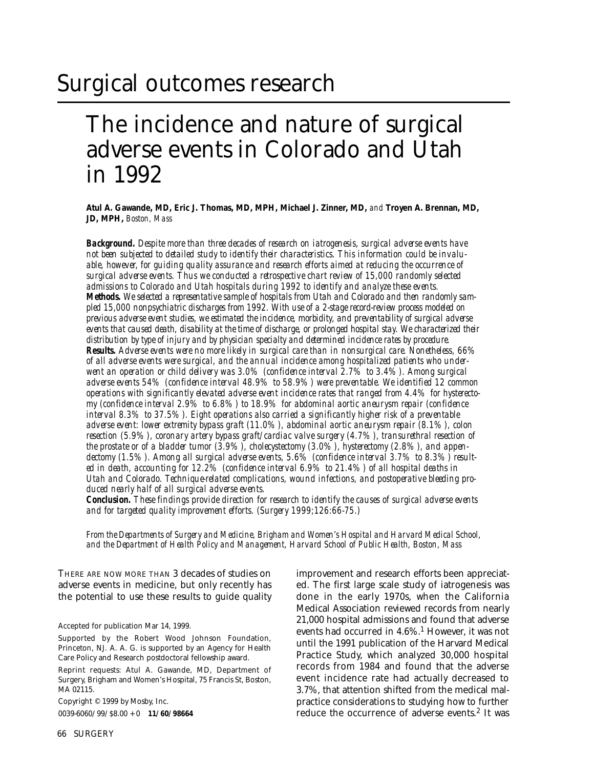# Surgical outcomes research

## The incidence and nature of surgical adverse events in Colorado and Utah in 1992

**Atul A. Gawande, MD, Eric J. Thomas, MD, MPH, Michael J. Zinner, MD,** *and* **Troyen A. Brennan, MD, JD, MPH,** *Boston, Mass*

*Background. Despite more than three decades of research on iatrogenesis, surgical adverse events have not been subjected to detailed study to identify their characteristics. This information could be invaluable, however, for guiding quality assurance and research efforts aimed at reducing the occurrence of surgical adverse events. Thus we conducted a retrospective chart review of 15,000 randomly selected admissions to Colorado and Utah hospitals during 1992 to identify and analyze these events. Methods. We selected a representative sample of hospitals from Utah and Colorado and then randomly sampled 15,000 nonpsychiatric discharges from 1992. With use of a 2-stage record-review process modeled on previous adverse event studies, we estimated the incidence, morbidity, and preventability of surgical adverse events that caused death, disability at the time of discharge, or prolonged hospital stay. We characterized their distribution by type of injury and by physician specialty and determined incidence rates by procedure. Results. Adverse events were no more likely in surgical care than in nonsurgical care. Nonetheless, 66% of all adverse events were surgical, and the annual incidence among hospitalized patients who underwent an operation or child delivery was 3.0% (confidence interval 2.7% to 3.4%). Among surgical adverse events 54% (confidence interval 48.9% to 58.9%) were preventable. We identified 12 common operations with significantly elevated adverse event incidence rates that ranged from 4.4% for hysterectomy (confidence interval 2.9% to 6.8%) to 18.9% for abdominal aortic aneurysm repair (confidence interval 8.3% to 37.5%). Eight operations also carried a significantly higher risk of a preventable adverse event: lower extremity bypass graft (11.0%), abdominal aortic aneurysm repair (8.1%), colon resection (5.9%), coronary artery bypass graft/cardiac valve surgery (4.7%), transurethral resection of the prostate or of a bladder tumor (3.9%), cholecystectomy (3.0%), hysterectomy (2.8%), and appendectomy (1.5%). Among all surgical adverse events, 5.6% (confidence interval 3.7% to 8.3%) resulted in death, accounting for 12.2% (confidence interval 6.9% to 21.4%) of all hospital deaths in Utah and Colorado. Technique-related complications, wound infections, and postoperative bleeding produced nearly half of all surgical adverse events.*

*Conclusion. These findings provide direction for research to identify the causes of surgical adverse events and for targeted quality improvement efforts. (Surgery 1999;126:66-75.)*

*From the Departments of Surgery and Medicine, Brigham and Women's Hospital and Harvard Medical School, and the Department of Health Policy and Management, Harvard School of Public Health, Boston, Mass*

THERE ARE NOW MORE THAN 3 decades of studies on adverse events in medicine, but only recently has the potential to use these results to guide quality

Accepted for publication Mar 14, 1999.

Supported by the Robert Wood Johnson Foundation, Princeton, NJ. A. A. G. is supported by an Agency for Health Care Policy and Research postdoctoral fellowship award.

Reprint requests: Atul A. Gawande, MD, Department of Surgery, Brigham and Women's Hospital, 75 Francis St, Boston, MA 02115.

Copyright © 1999 by Mosby, Inc.

0039-6060/99/\$8.00 + 0 **11/60/98664**

improvement and research efforts been appreciated. The first large scale study of iatrogenesis was done in the early 1970s, when the California Medical Association reviewed records from nearly 21,000 hospital admissions and found that adverse events had occurred in  $4.6\%$ .<sup>1</sup> However, it was not until the 1991 publication of the Harvard Medical Practice Study, which analyzed 30,000 hospital records from 1984 and found that the adverse event incidence rate had actually decreased to 3.7%, that attention shifted from the medical malpractice considerations to studying how to further reduce the occurrence of adverse events.<sup>2</sup> It was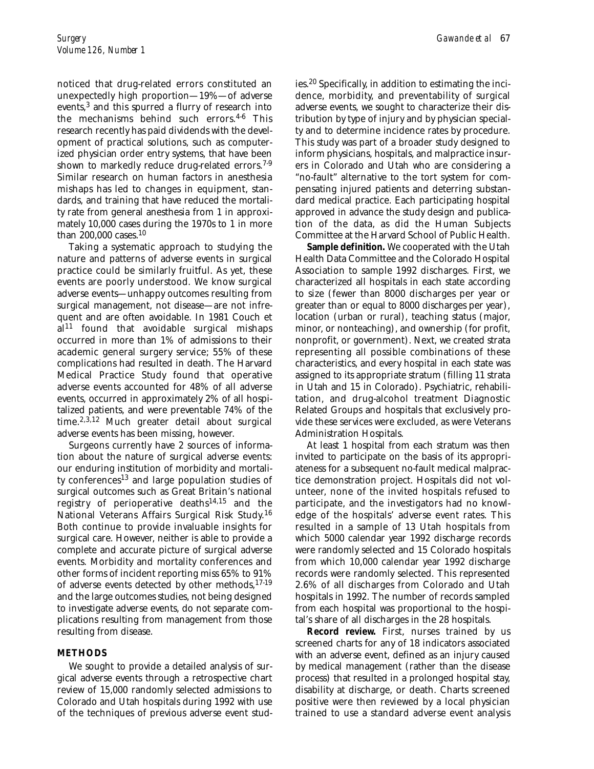noticed that drug-related errors constituted an unexpectedly high proportion—19%—of adverse events,<sup>3</sup> and this spurred a flurry of research into the mechanisms behind such errors. $4-6$  This research recently has paid dividends with the development of practical solutions, such as computerized physician order entry systems, that have been shown to markedly reduce drug-related errors.<sup>7-9</sup> Similar research on human factors in anesthesia mishaps has led to changes in equipment, standards, and training that have reduced the mortality rate from general anesthesia from 1 in approximately 10,000 cases during the 1970s to 1 in more than 200,000 cases.<sup>10</sup>

Taking a systematic approach to studying the nature and patterns of adverse events in surgical practice could be similarly fruitful. As yet, these events are poorly understood. We know surgical adverse events—unhappy outcomes resulting from surgical management, not disease—are not infrequent and are often avoidable. In 1981 Couch et  $al<sup>11</sup>$  found that avoidable surgical mishaps occurred in more than 1% of admissions to their academic general surgery service; 55% of these complications had resulted in death. The Harvard Medical Practice Study found that operative adverse events accounted for 48% of all adverse events, occurred in approximately 2% of all hospitalized patients, and were preventable 74% of the time.<sup>2,3,12</sup> Much greater detail about surgical adverse events has been missing, however.

Surgeons currently have 2 sources of information about the nature of surgical adverse events: our enduring institution of morbidity and mortality conferences<sup>13</sup> and large population studies of surgical outcomes such as Great Britain's national registry of perioperative deaths $14,15$  and the National Veterans Affairs Surgical Risk Study.<sup>16</sup> Both continue to provide invaluable insights for surgical care. However, neither is able to provide a complete and accurate picture of surgical adverse events. Morbidity and mortality conferences and other forms of incident reporting miss 65% to 91% of adverse events detected by other methods,  $17-19$ and the large outcomes studies, not being designed to investigate adverse events, do not separate complications resulting from management from those resulting from disease.

#### **METHODS**

We sought to provide a detailed analysis of surgical adverse events through a retrospective chart review of 15,000 randomly selected admissions to Colorado and Utah hospitals during 1992 with use of the techniques of previous adverse event studies.<sup>20</sup> Specifically, in addition to estimating the incidence, morbidity, and preventability of surgical adverse events, we sought to characterize their distribution by type of injury and by physician specialty and to determine incidence rates by procedure. This study was part of a broader study designed to inform physicians, hospitals, and malpractice insurers in Colorado and Utah who are considering a "no-fault" alternative to the tort system for compensating injured patients and deterring substandard medical practice. Each participating hospital approved in advance the study design and publication of the data, as did the Human Subjects Committee at the Harvard School of Public Health.

**Sample definition.** We cooperated with the Utah Health Data Committee and the Colorado Hospital Association to sample 1992 discharges. First, we characterized all hospitals in each state according to size (fewer than 8000 discharges per year or greater than or equal to 8000 discharges per year), location (urban or rural), teaching status (major, minor, or nonteaching), and ownership (for profit, nonprofit, or government). Next, we created strata representing all possible combinations of these characteristics, and every hospital in each state was assigned to its appropriate stratum (filling 11 strata in Utah and 15 in Colorado). Psychiatric, rehabilitation, and drug-alcohol treatment Diagnostic Related Groups and hospitals that exclusively provide these services were excluded, as were Veterans Administration Hospitals.

At least 1 hospital from each stratum was then invited to participate on the basis of its appropriateness for a subsequent no-fault medical malpractice demonstration project. Hospitals did not volunteer, none of the invited hospitals refused to participate, and the investigators had no knowledge of the hospitals' adverse event rates. This resulted in a sample of 13 Utah hospitals from which 5000 calendar year 1992 discharge records were randomly selected and 15 Colorado hospitals from which 10,000 calendar year 1992 discharge records were randomly selected. This represented 2.6% of all discharges from Colorado and Utah hospitals in 1992. The number of records sampled from each hospital was proportional to the hospital's share of all discharges in the 28 hospitals.

**Record review.** First, nurses trained by us screened charts for any of 18 indicators associated with an adverse event, defined as an injury caused by medical management (rather than the disease process) that resulted in a prolonged hospital stay, disability at discharge, or death. Charts screened positive were then reviewed by a local physician trained to use a standard adverse event analysis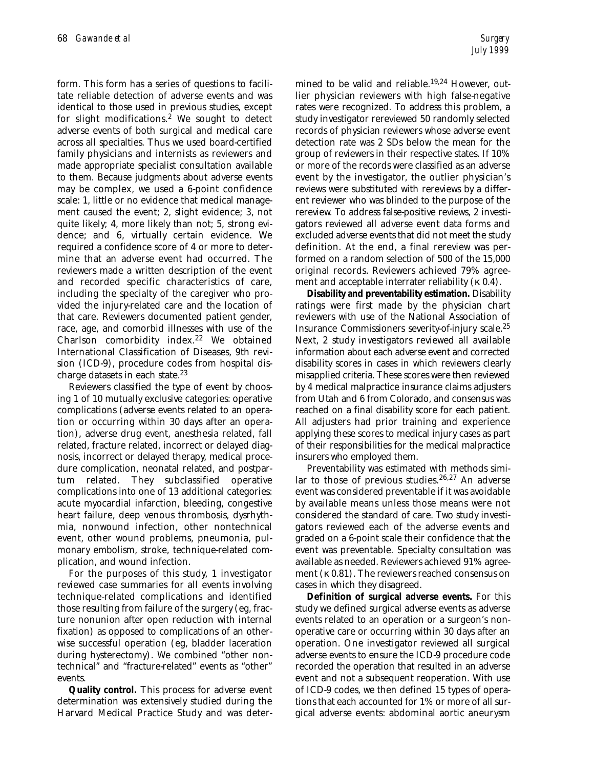form. This form has a series of questions to facilitate reliable detection of adverse events and was identical to those used in previous studies, except for slight modifications.<sup>2</sup> We sought to detect adverse events of both surgical and medical care across all specialties. Thus we used board-certified family physicians and internists as reviewers and made appropriate specialist consultation available to them. Because judgments about adverse events may be complex, we used a 6-point confidence scale: 1, little or no evidence that medical management caused the event; 2, slight evidence; 3, not quite likely; 4, more likely than not; 5, strong evidence; and 6, virtually certain evidence. We required a confidence score of 4 or more to determine that an adverse event had occurred. The reviewers made a written description of the event and recorded specific characteristics of care, including the specialty of the caregiver who provided the injury-related care and the location of that care. Reviewers documented patient gender, race, age, and comorbid illnesses with use of the Charlson comorbidity index.<sup>22</sup> We obtained International Classification of Diseases, 9th revision (ICD-9), procedure codes from hospital discharge datasets in each state.<sup>23</sup>

Reviewers classified the type of event by choosing 1 of 10 mutually exclusive categories: operative complications (adverse events related to an operation or occurring within 30 days after an operation), adverse drug event, anesthesia related, fall related, fracture related, incorrect or delayed diagnosis, incorrect or delayed therapy, medical procedure complication, neonatal related, and postpartum related. They subclassified operative complications into one of 13 additional categories: acute myocardial infarction, bleeding, congestive heart failure, deep venous thrombosis, dysrhythmia, nonwound infection, other nontechnical event, other wound problems, pneumonia, pulmonary embolism, stroke, technique-related complication, and wound infection.

For the purposes of this study, 1 investigator reviewed case summaries for all events involving technique-related complications and identified those resulting from failure of the surgery (eg, fracture nonunion after open reduction with internal fixation) as opposed to complications of an otherwise successful operation (eg, bladder laceration during hysterectomy). We combined "other nontechnical" and "fracture-related" events as "other" events.

**Quality control.** This process for adverse event determination was extensively studied during the Harvard Medical Practice Study and was determined to be valid and reliable.<sup>19,24</sup> However, outlier physician reviewers with high false-negative rates were recognized. To address this problem, a study investigator rereviewed 50 randomly selected records of physician reviewers whose adverse event detection rate was 2 SDs below the mean for the group of reviewers in their respective states. If 10% or more of the records were classified as an adverse event by the investigator, the outlier physician's reviews were substituted with rereviews by a different reviewer who was blinded to the purpose of the rereview. To address false-positive reviews, 2 investigators reviewed all adverse event data forms and excluded adverse events that did not meet the study definition. At the end, a final rereview was performed on a random selection of 500 of the 15,000 original records. Reviewers achieved 79% agreement and acceptable interrater reliability (κ 0.4).

**Disability and preventability estimation.** Disability ratings were first made by the physician chart reviewers with use of the National Association of Insurance Commissioners severity-of-injury scale.25 Next, 2 study investigators reviewed all available information about each adverse event and corrected disability scores in cases in which reviewers clearly misapplied criteria. These scores were then reviewed by 4 medical malpractice insurance claims adjusters from Utah and 6 from Colorado, and consensus was reached on a final disability score for each patient. All adjusters had prior training and experience applying these scores to medical injury cases as part of their responsibilities for the medical malpractice insurers who employed them.

Preventability was estimated with methods similar to those of previous studies.<sup>26,27</sup> An adverse event was considered preventable if it was avoidable by available means unless those means were not considered the standard of care. Two study investigators reviewed each of the adverse events and graded on a 6-point scale their confidence that the event was preventable. Specialty consultation was available as needed. Reviewers achieved 91% agreement (κ 0.81). The reviewers reached consensus on cases in which they disagreed.

**Definition of surgical adverse events.** For this study we defined surgical adverse events as adverse events related to an operation or a surgeon's nonoperative care or occurring within 30 days after an operation. One investigator reviewed all surgical adverse events to ensure the ICD-9 procedure code recorded the operation that resulted in an adverse event and not a subsequent reoperation. With use of ICD-9 codes, we then defined 15 types of operations that each accounted for 1% or more of all surgical adverse events: abdominal aortic aneurysm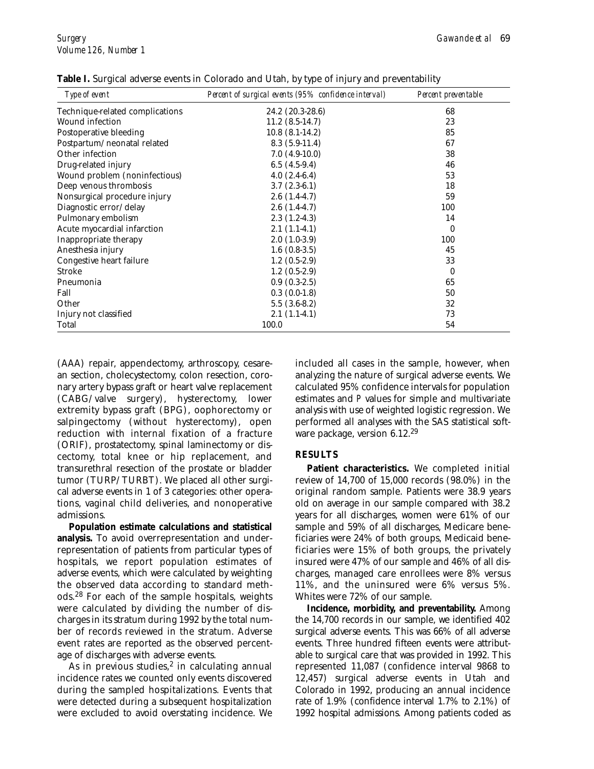| Type of event                   | Percent of surgical events (95% confidence interval) | Percent preventable |
|---------------------------------|------------------------------------------------------|---------------------|
| Technique-related complications | 24.2 (20.3-28.6)                                     | 68                  |
| <b>Wound infection</b>          | $11.2(8.5-14.7)$                                     | 23                  |
| Postoperative bleeding          | $10.8(8.1-14.2)$                                     | 85                  |
| Postpartum/neonatal related     | $8.3(5.9-11.4)$                                      | 67                  |
| Other infection                 | $7.0(4.9-10.0)$                                      | 38                  |
| Drug-related injury             | $6.5(4.5-9.4)$                                       | 46                  |
| Wound problem (noninfectious)   | $4.0(2.4-6.4)$                                       | 53                  |
| Deep venous thrombosis          | $3.7(2.3-6.1)$                                       | 18                  |
| Nonsurgical procedure injury    | $2.6(1.4-4.7)$                                       | 59                  |
| Diagnostic error/delay          | $2.6(1.4-4.7)$                                       | 100                 |
| Pulmonary embolism              | $2.3(1.2-4.3)$                                       | 14                  |
| Acute myocardial infarction     | $2.1(1.1-4.1)$                                       | 0                   |
| Inappropriate therapy           | $2.0(1.0-3.9)$                                       | 100                 |
| Anesthesia injury               | $1.6(0.8-3.5)$                                       | 45                  |
| Congestive heart failure        | $1.2(0.5-2.9)$                                       | 33                  |
| Stroke                          | $1.2(0.5-2.9)$                                       | 0                   |
| Pneumonia                       | $0.9(0.3-2.5)$                                       | 65                  |
| Fall                            | $0.3(0.0-1.8)$                                       | 50                  |
| Other                           | $5.5(3.6-8.2)$                                       | 32                  |
| Injury not classified           | $2.1(1.1-4.1)$                                       | 73                  |
| Total                           | 100.0                                                | 54                  |

**Table I.** Surgical adverse events in Colorado and Utah, by type of injury and preventability

(AAA) repair, appendectomy, arthroscopy, cesarean section, cholecystectomy, colon resection, coronary artery bypass graft or heart valve replacement (CABG/valve surgery), hysterectomy, lower extremity bypass graft (BPG), oophorectomy or salpingectomy (without hysterectomy), open reduction with internal fixation of a fracture (ORIF), prostatectomy, spinal laminectomy or discectomy, total knee or hip replacement, and transurethral resection of the prostate or bladder tumor (TURP/TURBT). We placed all other surgical adverse events in 1 of 3 categories: other operations, vaginal child deliveries, and nonoperative admissions.

**Population estimate calculations and statistical analysis.** To avoid overrepresentation and underrepresentation of patients from particular types of hospitals, we report population estimates of adverse events, which were calculated by weighting the observed data according to standard methods.<sup>28</sup> For each of the sample hospitals, weights were calculated by dividing the number of discharges in its stratum during 1992 by the total number of records reviewed in the stratum. Adverse event rates are reported as the observed percentage of discharges with adverse events.

As in previous studies, $2$  in calculating annual incidence rates we counted only events discovered during the sampled hospitalizations. Events that were detected during a subsequent hospitalization were excluded to avoid overstating incidence. We included all cases in the sample, however, when analyzing the nature of surgical adverse events. We calculated 95% confidence intervals for population estimates and *P* values for simple and multivariate analysis with use of weighted logistic regression. We performed all analyses with the SAS statistical software package, version 6.12.<sup>29</sup>

### **RESULTS**

**Patient characteristics.** We completed initial review of 14,700 of 15,000 records (98.0%) in the original random sample. Patients were 38.9 years old on average in our sample compared with 38.2 years for all discharges, women were 61% of our sample and 59% of all discharges, Medicare beneficiaries were 24% of both groups, Medicaid beneficiaries were 15% of both groups, the privately insured were 47% of our sample and 46% of all discharges, managed care enrollees were 8% versus 11%, and the uninsured were 6% versus 5%. Whites were 72% of our sample.

**Incidence, morbidity, and preventability.** Among the 14,700 records in our sample, we identified 402 surgical adverse events. This was 66% of all adverse events. Three hundred fifteen events were attributable to surgical care that was provided in 1992. This represented 11,087 (confidence interval 9868 to 12,457) surgical adverse events in Utah and Colorado in 1992, producing an annual incidence rate of 1.9% (confidence interval 1.7% to 2.1%) of 1992 hospital admissions. Among patients coded as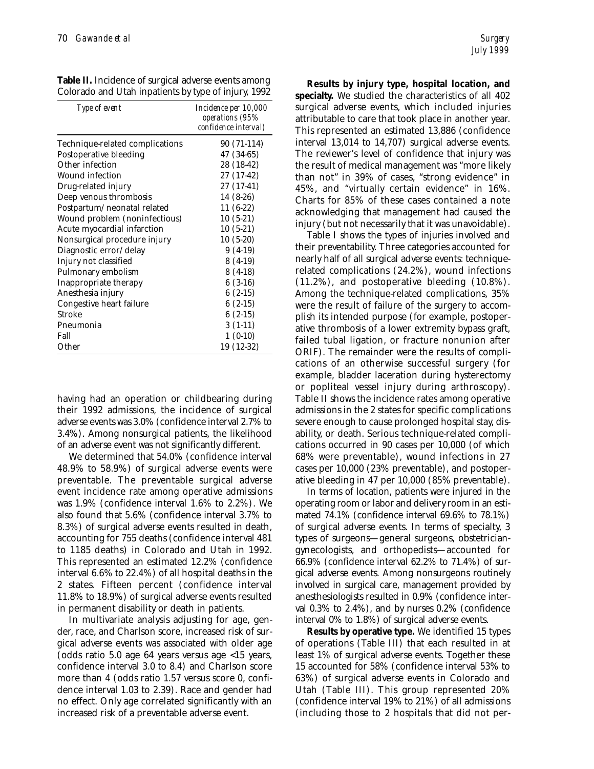| <b>Table II.</b> Incidence of surgical adverse events among |  |  |
|-------------------------------------------------------------|--|--|
| Colorado and Utah inpatients by type of injury, 1992        |  |  |

| Type of event                   | <i>Incidence per 10,000</i><br>operations (95%<br>confidence interval) |
|---------------------------------|------------------------------------------------------------------------|
| Technique-related complications | 90 (71-114)                                                            |
| Postoperative bleeding          | 47 (34-65)                                                             |
| Other infection                 | 28 (18-42)                                                             |
| Wound infection                 | 27 (17-42)                                                             |
| Drug-related injury             | 27 (17-41)                                                             |
| Deep venous thrombosis          | 14 (8-26)                                                              |
| Postpartum/neonatal related     | $11(6-22)$                                                             |
| Wound problem (noninfectious)   | $10(5-21)$                                                             |
| Acute myocardial infarction     | $10(5-21)$                                                             |
| Nonsurgical procedure injury    | $10(5-20)$                                                             |
| Diagnostic error/delay          | $9(4-19)$                                                              |
| Injury not classified           | $8(4-19)$                                                              |
| Pulmonary embolism              | $8(4-18)$                                                              |
| Inappropriate therapy           | $6(3-16)$                                                              |
| Anesthesia injury               | $6(2-15)$                                                              |
| Congestive heart failure        | $6(2-15)$                                                              |
| Stroke                          | $6(2-15)$                                                              |
| Pneumonia                       | $3(1-11)$                                                              |
| Fall                            | $1(0-10)$                                                              |
| Other                           | 19 (12-32)                                                             |

having had an operation or childbearing during their 1992 admissions, the incidence of surgical adverse events was 3.0% (confidence interval 2.7% to 3.4%). Among nonsurgical patients, the likelihood of an adverse event was not significantly different.

We determined that 54.0% (confidence interval 48.9% to 58.9%) of surgical adverse events were preventable. The preventable surgical adverse event incidence rate among operative admissions was 1.9% (confidence interval 1.6% to 2.2%). We also found that 5.6% (confidence interval 3.7% to 8.3%) of surgical adverse events resulted in death, accounting for 755 deaths (confidence interval 481 to 1185 deaths) in Colorado and Utah in 1992. This represented an estimated 12.2% (confidence interval 6.6% to 22.4%) of all hospital deaths in the 2 states. Fifteen percent (confidence interval 11.8% to 18.9%) of surgical adverse events resulted in permanent disability or death in patients.

In multivariate analysis adjusting for age, gender, race, and Charlson score, increased risk of surgical adverse events was associated with older age (odds ratio 5.0 age 64 years versus age <15 years, confidence interval 3.0 to 8.4) and Charlson score more than 4 (odds ratio 1.57 versus score 0, confidence interval 1.03 to 2.39). Race and gender had no effect. Only age correlated significantly with an increased risk of a preventable adverse event.

**Results by injury type, hospital location, and specialty.** We studied the characteristics of all 402 surgical adverse events, which included injuries attributable to care that took place in another year. This represented an estimated 13,886 (confidence interval 13,014 to 14,707) surgical adverse events. The reviewer's level of confidence that injury was the result of medical management was "more likely than not" in 39% of cases, "strong evidence" in 45%, and "virtually certain evidence" in 16%. Charts for 85% of these cases contained a note acknowledging that management had caused the injury (but not necessarily that it was unavoidable).

Table I shows the types of injuries involved and their preventability. Three categories accounted for nearly half of all surgical adverse events: techniquerelated complications (24.2%), wound infections (11.2%), and postoperative bleeding (10.8%). Among the technique-related complications, 35% were the result of failure of the surgery to accomplish its intended purpose (for example, postoperative thrombosis of a lower extremity bypass graft, failed tubal ligation, or fracture nonunion after ORIF). The remainder were the results of complications of an otherwise successful surgery (for example, bladder laceration during hysterectomy or popliteal vessel injury during arthroscopy). Table II shows the incidence rates among operative admissions in the 2 states for specific complications severe enough to cause prolonged hospital stay, disability, or death. Serious technique-related complications occurred in 90 cases per 10,000 (of which 68% were preventable), wound infections in 27 cases per 10,000 (23% preventable), and postoperative bleeding in 47 per 10,000 (85% preventable).

In terms of location, patients were injured in the operating room or labor and delivery room in an estimated 74.1% (confidence interval 69.6% to 78.1%) of surgical adverse events. In terms of specialty, 3 types of surgeons—general surgeons, obstetriciangynecologists, and orthopedists—accounted for 66.9% (confidence interval 62.2% to 71.4%) of surgical adverse events. Among nonsurgeons routinely involved in surgical care, management provided by anesthesiologists resulted in 0.9% (confidence interval 0.3% to 2.4%), and by nurses 0.2% (confidence interval 0% to 1.8%) of surgical adverse events.

**Results by operative type.** We identified 15 types of operations (Table III) that each resulted in at least 1% of surgical adverse events. Together these 15 accounted for 58% (confidence interval 53% to 63%) of surgical adverse events in Colorado and Utah (Table III). This group represented 20% (confidence interval 19% to 21%) of all admissions (including those to 2 hospitals that did not per-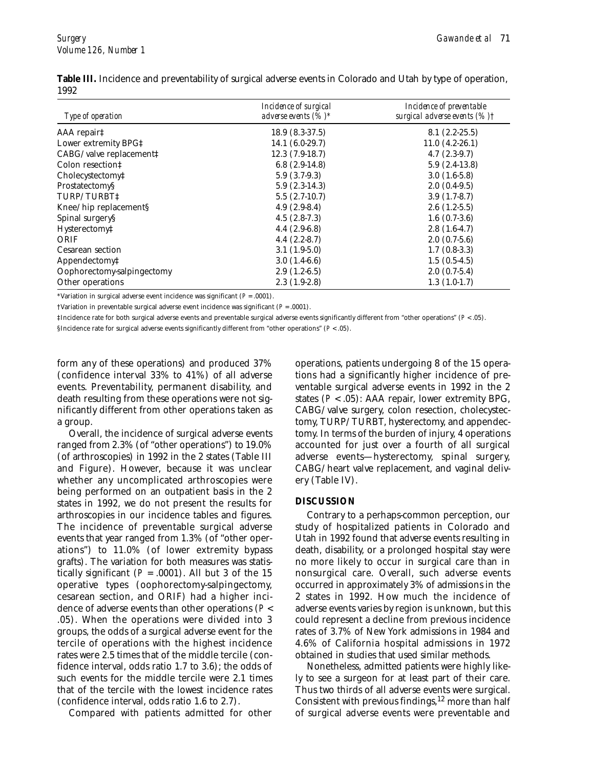| Type of operation                             | Incidence of surgical<br>adverse events $(%)^*$ | Incidence of preventable<br>surgical adverse events (%) † |
|-----------------------------------------------|-------------------------------------------------|-----------------------------------------------------------|
| AAA repair‡                                   | $18.9(8.3-37.5)$                                | $8.1(2.2-25.5)$                                           |
| Lower extremity BPG‡                          | $14.1(6.0-29.7)$                                | $11.0(4.2-26.1)$                                          |
| CABG/valve replacement‡                       | $12.3(7.9-18.7)$                                | $4.7(2.3-9.7)$                                            |
| Colon resection!                              | $6.8(2.9-14.8)$                                 | $5.9(2.4-13.8)$                                           |
| Cholecystectomy‡                              | $5.9(3.7-9.3)$                                  | $3.0(1.6-5.8)$                                            |
| Prostatectomy§                                | $5.9(2.3-14.3)$                                 | $2.0(0.4-9.5)$                                            |
| TURP/TURBT‡                                   | $5.5(2.7-10.7)$                                 | $3.9(1.7-8.7)$                                            |
| Knee/hip replacement§                         | $4.9(2.9-8.4)$                                  | $2.6(1.2-5.5)$                                            |
| Spinal surgery§                               | $4.5(2.8-7.3)$                                  | $1.6(0.7-3.6)$                                            |
| Hysterectomy‡                                 | $4.4(2.9-6.8)$                                  | $2.8(1.6-4.7)$                                            |
| ORIF                                          | $4.4(2.2-8.7)$                                  | $2.0(0.7-5.6)$                                            |
| Cesarean section                              | $3.1(1.9-5.0)$                                  | $1.7(0.8-3.3)$                                            |
| Appendectomy <sup><math>\ddagger</math></sup> | $3.0(1.4-6.6)$                                  | $1.5(0.5-4.5)$                                            |
| Oophorectomy-salpingectomy                    | $2.9(1.2-6.5)$                                  | $2.0(0.7-5.4)$                                            |
| Other operations                              | $2.3(1.9-2.8)$                                  | $1.3(1.0-1.7)$                                            |

**Table III.** Incidence and preventability of surgical adverse events in Colorado and Utah by type of operation, 1992

\*Variation in surgical adverse event incidence was significant  $(P = .0001)$ .

†Variation in preventable surgical adverse event incidence was significant (*P* = .0001).

‡Incidence rate for both surgical adverse events and preventable surgical adverse events significantly different from "other operations" (*P* < .05).

§Incidence rate for surgical adverse events significantly different from "other operations" (*P* < .05).

form any of these operations) and produced 37% (confidence interval 33% to 41%) of all adverse events. Preventability, permanent disability, and death resulting from these operations were not significantly different from other operations taken as a group.

Overall, the incidence of surgical adverse events ranged from 2.3% (of "other operations") to 19.0% (of arthroscopies) in 1992 in the 2 states (Table III and Figure). However, because it was unclear whether any uncomplicated arthroscopies were being performed on an outpatient basis in the 2 states in 1992, we do not present the results for arthroscopies in our incidence tables and figures. The incidence of preventable surgical adverse events that year ranged from 1.3% (of "other operations") to 11.0% (of lower extremity bypass grafts). The variation for both measures was statistically significant  $(P = .0001)$ . All but 3 of the 15 operative types (oophorectomy-salpingectomy, cesarean section, and ORIF) had a higher incidence of adverse events than other operations (*P* < .05). When the operations were divided into 3 groups, the odds of a surgical adverse event for the tercile of operations with the highest incidence rates were 2.5 times that of the middle tercile (confidence interval, odds ratio 1.7 to 3.6); the odds of such events for the middle tercile were 2.1 times that of the tercile with the lowest incidence rates (confidence interval, odds ratio 1.6 to 2.7).

Compared with patients admitted for other

operations, patients undergoing 8 of the 15 operations had a significantly higher incidence of preventable surgical adverse events in 1992 in the 2 states (*P* < .05): AAA repair, lower extremity BPG, CABG/valve surgery, colon resection, cholecystectomy, TURP/TURBT, hysterectomy, and appendectomy. In terms of the burden of injury, 4 operations accounted for just over a fourth of all surgical adverse events—hysterectomy, spinal surgery, CABG/heart valve replacement, and vaginal delivery (Table IV).

#### **DISCUSSION**

Contrary to a perhaps-common perception, our study of hospitalized patients in Colorado and Utah in 1992 found that adverse events resulting in death, disability, or a prolonged hospital stay were no more likely to occur in surgical care than in nonsurgical care. Overall, such adverse events occurred in approximately 3% of admissions in the 2 states in 1992. How much the incidence of adverse events varies by region is unknown, but this could represent a decline from previous incidence rates of 3.7% of New York admissions in 1984 and 4.6% of California hospital admissions in 1972 obtained in studies that used similar methods.

Nonetheless, admitted patients were highly likely to see a surgeon for at least part of their care. Thus two thirds of all adverse events were surgical. Consistent with previous findings,  $12$  more than half of surgical adverse events were preventable and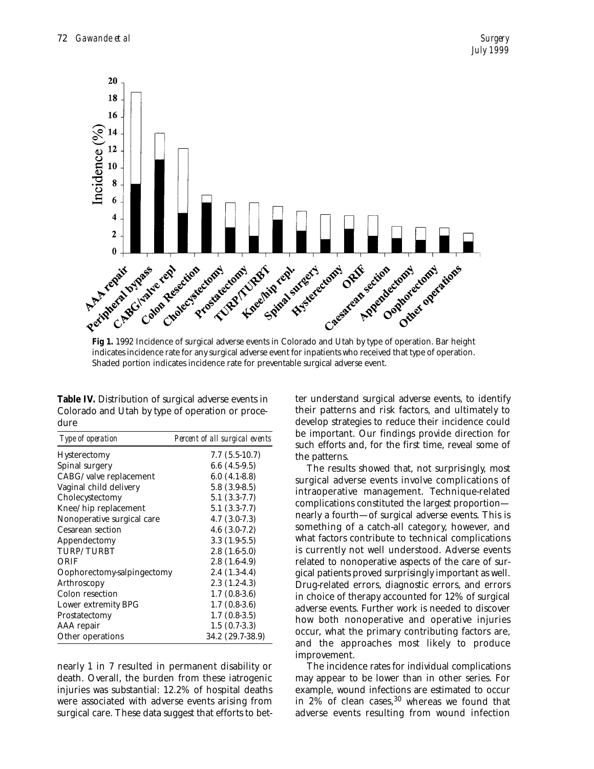

**Fig 1.** 1992 Incidence of surgical adverse events in Colorado and Utah by type of operation. Bar height indicates incidence rate for any surgical adverse event for inpatients who received that type of operation. Shaded portion indicates incidence rate for preventable surgical adverse event.

**Table IV.** Distribution of surgical adverse events in Colorado and Utah by type of operation or procedure

| <i>Type of operation</i>   | Percent of all surgical events |
|----------------------------|--------------------------------|
| <b>Hysterectomy</b>        | $7.7(5.5-10.7)$                |
| Spinal surgery             | $6.6(4.5-9.5)$                 |
| CABG/valve replacement     | $6.0(4.1-8.8)$                 |
| Vaginal child delivery     | $5.8(3.9-8.5)$                 |
| Cholecystectomy            | $5.1(3.3-7.7)$                 |
| Knee/hip replacement       | $5.1(3.3-7.7)$                 |
| Nonoperative surgical care | $4.7(3.0-7.3)$                 |
| <b>Cesarean section</b>    | $4.6(3.0-7.2)$                 |
| Appendectomy               | $3.3(1.9-5.5)$                 |
| <b>TURP/TURBT</b>          | $2.8(1.6-5.0)$                 |
| ORIF                       | $2.8(1.6-4.9)$                 |
| Oophorectomy-salpingectomy | $2.4(1.3-4.4)$                 |
| Arthroscopy                | $2.3(1.2-4.3)$                 |
| Colon resection            | $1.7(0.8-3.6)$                 |
| Lower extremity BPG        | $1.7(0.8-3.6)$                 |
| Prostatectomy              | $1.7(0.8-3.5)$                 |
| AAA repair                 | $1.5(0.7-3.3)$                 |
| Other operations           | 34.2 (29.7-38.9)               |

nearly 1 in 7 resulted in permanent disability or death. Overall, the burden from these iatrogenic injuries was substantial: 12.2% of hospital deaths were associated with adverse events arising from surgical care. These data suggest that efforts to better understand surgical adverse events, to identify their patterns and risk factors, and ultimately to develop strategies to reduce their incidence could be important. Our findings provide direction for such efforts and, for the first time, reveal some of the patterns.

The results showed that, not surprisingly, most surgical adverse events involve complications of intraoperative management. Technique-related complications constituted the largest proportion nearly a fourth—of surgical adverse events. This is something of a catch-all category, however, and what factors contribute to technical complications is currently not well understood. Adverse events related to nonoperative aspects of the care of surgical patients proved surprisingly important as well. Drug-related errors, diagnostic errors, and errors in choice of therapy accounted for 12% of surgical adverse events. Further work is needed to discover how both nonoperative and operative injuries occur, what the primary contributing factors are, and the approaches most likely to produce improvement.

The incidence rates for individual complications may appear to be lower than in other series. For example, wound infections are estimated to occur in  $2\%$  of clean cases,  $30$  whereas we found that adverse events resulting from wound infection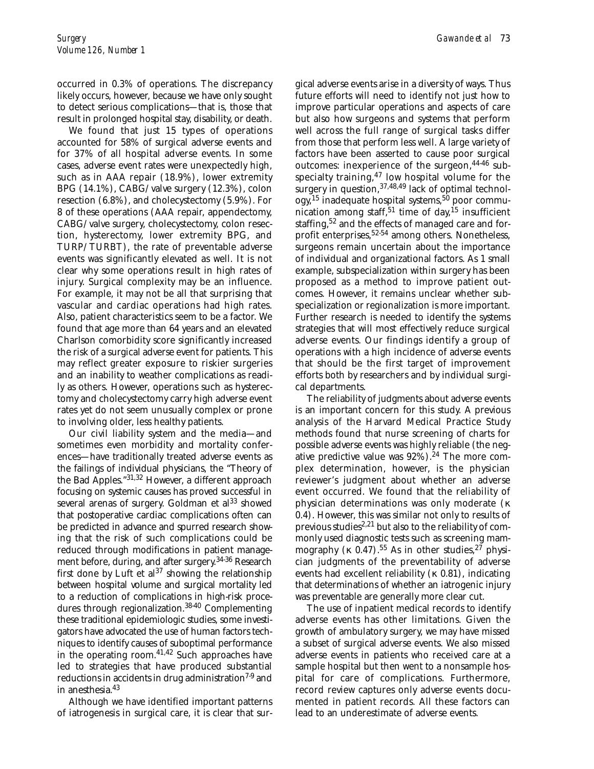occurred in 0.3% of operations. The discrepancy likely occurs, however, because we have only sought to detect serious complications—that is, those that result in prolonged hospital stay, disability, or death.

We found that just 15 types of operations accounted for 58% of surgical adverse events and for 37% of all hospital adverse events. In some cases, adverse event rates were unexpectedly high, such as in AAA repair (18.9%), lower extremity BPG (14.1%), CABG/valve surgery (12.3%), colon resection (6.8%), and cholecystectomy (5.9%). For 8 of these operations (AAA repair, appendectomy, CABG/valve surgery, cholecystectomy, colon resection, hysterectomy, lower extremity BPG, and TURP/TURBT), the rate of preventable adverse events was significantly elevated as well. It is not clear why some operations result in high rates of injury. Surgical complexity may be an influence. For example, it may not be all that surprising that vascular and cardiac operations had high rates. Also, patient characteristics seem to be a factor. We found that age more than 64 years and an elevated Charlson comorbidity score significantly increased the risk of a surgical adverse event for patients. This may reflect greater exposure to riskier surgeries and an inability to weather complications as readily as others. However, operations such as hysterectomy and cholecystectomy carry high adverse event rates yet do not seem unusually complex or prone to involving older, less healthy patients.

Our civil liability system and the media—and sometimes even morbidity and mortality conferences—have traditionally treated adverse events as the failings of individual physicians, the "Theory of the Bad Apples."31,32 However, a different approach focusing on systemic causes has proved successful in several arenas of surgery. Goldman et  $al<sup>33</sup>$  showed that postoperative cardiac complications often can be predicted in advance and spurred research showing that the risk of such complications could be reduced through modifications in patient management before, during, and after surgery.34-36 Research first done by Luft et  $al^{37}$  showing the relationship between hospital volume and surgical mortality led to a reduction of complications in high-risk procedures through regionalization.<sup>38-40</sup> Complementing these traditional epidemiologic studies, some investigators have advocated the use of human factors techniques to identify causes of suboptimal performance in the operating room. $41,42$  Such approaches have led to strategies that have produced substantial reductions in accidents in drug administration<sup>7-9</sup> and in anesthesia.43

Although we have identified important patterns of iatrogenesis in surgical care, it is clear that surgical adverse events arise in a diversity of ways. Thus future efforts will need to identify not just how to improve particular operations and aspects of care but also how surgeons and systems that perform well across the full range of surgical tasks differ from those that perform less well. A large variety of factors have been asserted to cause poor surgical outcomes: inexperience of the surgeon, 44-46 subspecialty training, $47$  low hospital volume for the surgery in question,  $37,48,49$  lack of optimal technol- $\log y$ ,<sup>15</sup> inadequate hospital systems,<sup>50</sup> poor communication among staff,<sup>51</sup> time of day,<sup>15</sup> insufficient staffing,<sup>52</sup> and the effects of managed care and forprofit enterprises,<sup>52-54</sup> among others. Nonetheless, surgeons remain uncertain about the importance of individual and organizational factors. As 1 small example, subspecialization within surgery has been proposed as a method to improve patient outcomes. However, it remains unclear whether subspecialization or regionalization is more important. Further research is needed to identify the systems strategies that will most effectively reduce surgical adverse events. Our findings identify a group of operations with a high incidence of adverse events that should be the first target of improvement efforts both by researchers and by individual surgical departments.

The reliability of judgments about adverse events is an important concern for this study. A previous analysis of the Harvard Medical Practice Study methods found that nurse screening of charts for possible adverse events was highly reliable (the negative predictive value was  $92\%$ ).<sup>24</sup> The more complex determination, however, is the physician reviewer's judgment about whether an adverse event occurred. We found that the reliability of physician determinations was only moderate (κ 0.4). However, this was similar not only to results of previous studies<sup>2,21</sup> but also to the reliability of commonly used diagnostic tests such as screening mammography (κ 0.47).<sup>55</sup> As in other studies,<sup>27</sup> physician judgments of the preventability of adverse events had excellent reliability (κ 0.81), indicating that determinations of whether an iatrogenic injury was preventable are generally more clear cut.

The use of inpatient medical records to identify adverse events has other limitations. Given the growth of ambulatory surgery, we may have missed a subset of surgical adverse events. We also missed adverse events in patients who received care at a sample hospital but then went to a nonsample hospital for care of complications. Furthermore, record review captures only adverse events documented in patient records. All these factors can lead to an underestimate of adverse events.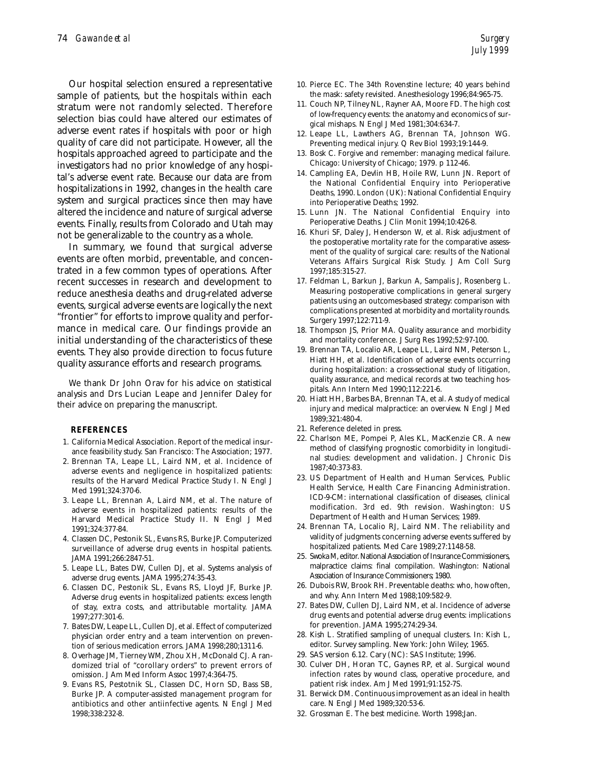Our hospital selection ensured a representative sample of patients, but the hospitals within each stratum were not randomly selected. Therefore selection bias could have altered our estimates of adverse event rates if hospitals with poor or high quality of care did not participate. However, all the hospitals approached agreed to participate and the investigators had no prior knowledge of any hospital's adverse event rate. Because our data are from hospitalizations in 1992, changes in the health care system and surgical practices since then may have altered the incidence and nature of surgical adverse events. Finally, results from Colorado and Utah may not be generalizable to the country as a whole.

In summary, we found that surgical adverse events are often morbid, preventable, and concentrated in a few common types of operations. After recent successes in research and development to reduce anesthesia deaths and drug-related adverse events, surgical adverse events are logically the next "frontier" for efforts to improve quality and performance in medical care. Our findings provide an initial understanding of the characteristics of these events. They also provide direction to focus future quality assurance efforts and research programs.

We thank Dr John Orav for his advice on statistical analysis and Drs Lucian Leape and Jennifer Daley for their advice on preparing the manuscript.

#### **REFERENCES**

- 1. California Medical Association. Report of the medical insurance feasibility study. San Francisco: The Association; 1977.
- 2. Brennan TA, Leape LL, Laird NM, et al. Incidence of adverse events and negligence in hospitalized patients: results of the Harvard Medical Practice Study I. N Engl J Med 1991;324:370-6.
- 3. Leape LL, Brennan A, Laird NM, et al. The nature of adverse events in hospitalized patients: results of the Harvard Medical Practice Study II. N Engl J Med 1991;324:377-84.
- 4. Classen DC, Pestonik SL, Evans RS, Burke JP. Computerized surveillance of adverse drug events in hospital patients. JAMA 1991;266:2847-51.
- 5. Leape LL, Bates DW, Cullen DJ, et al. Systems analysis of adverse drug events. JAMA 1995;274:35-43.
- 6. Classen DC, Pestonik SL, Evans RS, Lloyd JF, Burke JP. Adverse drug events in hospitalized patients: excess length of stay, extra costs, and attributable mortality. JAMA 1997;277:301-6.
- 7. Bates DW, Leape LL, Cullen DJ, et al. Effect of computerized physician order entry and a team intervention on prevention of serious medication errors. JAMA 1998;280;1311-6.
- 8. Overhage JM, Tierney WM, Zhou XH, McDonald CJ. A randomized trial of "corollary orders" to prevent errors of omission. J Am Med Inform Assoc 1997;4:364-75.
- 9. Evans RS, Pestotnik SL, Classen DC, Horn SD, Bass SB, Burke JP. A computer-assisted management program for antibiotics and other antiinfective agents. N Engl J Med 1998;338:232-8.
- 10. Pierce EC. The 34th Rovenstine lecture; 40 years behind the mask: safety revisited. Anesthesiology 1996;84:965-75.
- 11. Couch NP, Tilney NL, Rayner AA, Moore FD. The high cost of low-frequency events: the anatomy and economics of surgical mishaps. N Engl J Med 1981;304:634-7.
- 12. Leape LL, Lawthers AG, Brennan TA, Johnson WG. Preventing medical injury. Q Rev Biol 1993;19:144-9.
- 13. Bosk C. Forgive and remember: managing medical failure. Chicago: University of Chicago; 1979. p 112-46.
- 14. Campling EA, Devlin HB, Hoile RW, Lunn JN. Report of the National Confidential Enquiry into Perioperative Deaths, 1990. London (UK): National Confidential Enquiry into Perioperative Deaths; 1992.
- 15. Lunn JN. The National Confidential Enquiry into Perioperative Deaths. J Clin Monit 1994;10:426-8.
- 16. Khuri SF, Daley J, Henderson W, et al. Risk adjustment of the postoperative mortality rate for the comparative assessment of the quality of surgical care: results of the National Veterans Affairs Surgical Risk Study. J Am Coll Surg 1997;185:315-27.
- 17. Feldman L, Barkun J, Barkun A, Sampalis J, Rosenberg L. Measuring postoperative complications in general surgery patients using an outcomes-based strategy: comparison with complications presented at morbidity and mortality rounds. Surgery 1997;122:711-9.
- 18. Thompson JS, Prior MA. Quality assurance and morbidity and mortality conference. J Surg Res 1992;52:97-100.
- 19. Brennan TA, Localio AR, Leape LL, Laird NM, Peterson L, Hiatt HH, et al. Identification of adverse events occurring during hospitalization: a cross-sectional study of litigation, quality assurance, and medical records at two teaching hospitals. Ann Intern Med 1990;112:221-6.
- 20. Hiatt HH, Barbes BA, Brennan TA, et al. A study of medical injury and medical malpractice: an overview. N Engl J Med 1989;321:480-4.
- 21. Reference deleted in press.
- 22. Charlson ME, Pompei P, Ales KL, MacKenzie CR. A new method of classifying prognostic comorbidity in longitudinal studies: development and validation. J Chronic Dis 1987;40:373-83.
- 23. US Department of Health and Human Services, Public Health Service, Health Care Financing Administration. ICD-9-CM: international classification of diseases, clinical modification. 3rd ed. 9th revision. Washington: US Department of Health and Human Services; 1989.
- 24. Brennan TA, Localio RJ, Laird NM. The reliability and validity of judgments concerning adverse events suffered by hospitalized patients. Med Care 1989;27:1148-58.
- 25. Swoka M, editor. National Association of Insurance Commissioners, malpractice claims: final compilation. Washington: National Association of Insurance Commissioners; 1980.
- 26. Dubois RW, Brook RH. Preventable deaths: who, how often, and why. Ann Intern Med 1988;109:582-9.
- 27. Bates DW, Cullen DJ, Laird NM, et al. Incidence of adverse drug events and potential adverse drug events: implications for prevention. JAMA 1995;274:29-34.
- 28. Kish L. Stratified sampling of unequal clusters. In: Kish L, editor. Survey sampling. New York: John Wiley; 1965.
- 29. SAS version 6.12. Cary (NC): SAS Institute; 1996.
- 30. Culver DH, Horan TC, Gaynes RP, et al. Surgical wound infection rates by wound class, operative procedure, and patient risk index. Am J Med 1991;91:152-7S.
- 31. Berwick DM. Continuous improvement as an ideal in health care. N Engl J Med 1989;320:53-6.
- 32. Grossman E. The best medicine. Worth 1998;Jan.